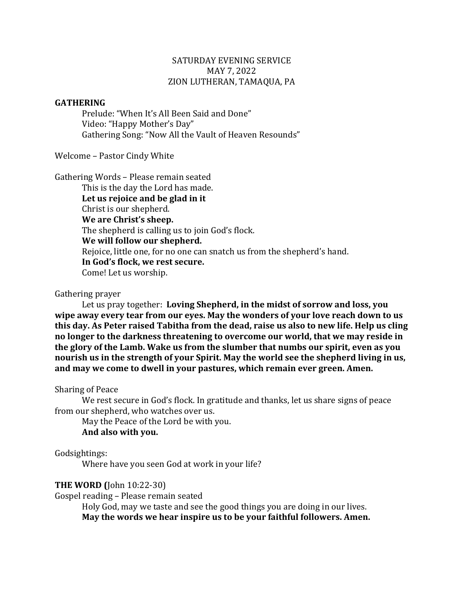### SATURDAY EVENING SERVICE MAY 7, 2022 ZION LUTHERAN, TAMAQUA, PA

#### **GATHERING**

Prelude: "When It's All Been Said and Done" Video: "Happy Mother's Day" Gathering Song: "Now All the Vault of Heaven Resounds"

Welcome - Pastor Cindy White

Gathering Words - Please remain seated

This is the day the Lord has made. Let us rejoice and be glad in it Christ is our shepherd. **We are Christ's sheep.** The shepherd is calling us to join God's flock. **We will follow our shepherd.** Rejoice, little one, for no one can snatch us from the shepherd's hand. **In God's flock, we rest secure.** Come! Let us worship.

#### Gathering prayer

Let us pray together: Loving Shepherd, in the midst of sorrow and loss, you wipe away every tear from our eyes. May the wonders of your love reach down to us this day. As Peter raised Tabitha from the dead, raise us also to new life. Help us cling no longer to the darkness threatening to overcome our world, that we may reside in the glory of the Lamb. Wake us from the slumber that numbs our spirit, even as you **nourish us in the strength of your Spirit. May the world see the shepherd living in us,** and may we come to dwell in your pastures, which remain ever green. Amen.

#### Sharing of Peace

We rest secure in God's flock. In gratitude and thanks, let us share signs of peace from our shepherd, who watches over us.

May the Peace of the Lord be with you. **And also with you.**

### Godsightings:

Where have you seen God at work in your life?

### **THE WORD** (John 10:22-30)

Gospel reading - Please remain seated

Holy God, may we taste and see the good things you are doing in our lives. May the words we hear inspire us to be your faithful followers. Amen.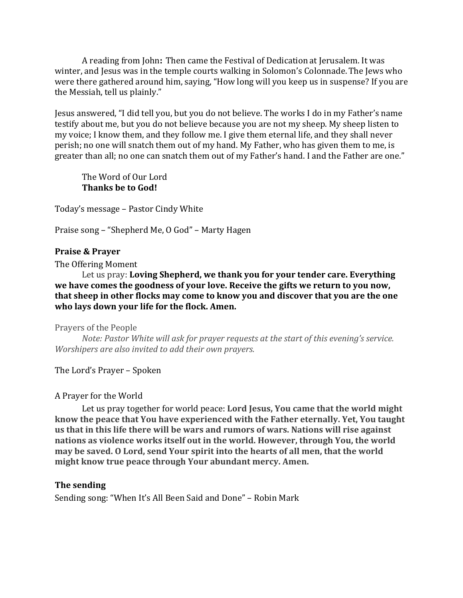A reading from John: Then came the Festival of Dedication at Jerusalem. It was winter, and Jesus was in the temple courts walking in Solomon's Colonnade. The Jews who were there gathered around him, saying, "How long will you keep us in suspense? If you are the Messiah, tell us plainly."

Jesus answered, "I did tell you, but you do not believe. The works I do in my Father's name testify about me, but you do not believe because you are not my sheep. My sheep listen to my voice; I know them, and they follow me. I give them eternal life, and they shall never perish; no one will snatch them out of my hand. My Father, who has given them to me, is greater than all; no one can snatch them out of my Father's hand. I and the Father are one."

The Word of Our Lord **Thanks be to God!** 

Today's message - Pastor Cindy White

Praise song – "Shepherd Me, O God" – Marty Hagen

## **Praise & Prayer**

The Offering Moment

Let us pray: Loving Shepherd, we thank you for your tender care. Everything we have comes the goodness of your love. Receive the gifts we return to you now, that sheep in other flocks may come to know you and discover that you are the one who lays down your life for the flock. Amen.

Prayers of the People

*Note: Pastor White will ask for prayer requests at the start of this evening's service. Worshipers are also invited to add their own prayers.* 

The Lord's Prayer – Spoken

### A Prayer for the World

Let us pray together for world peace: **Lord Jesus, You came that the world might** know the peace that You have experienced with the Father eternally. Yet, You taught us that in this life there will be wars and rumors of wars. Nations will rise against nations as violence works itself out in the world. However, through You, the world **may be saved. O Lord, send Your spirit into the hearts of all men, that the world** might know true peace through Your abundant mercy. Amen.

# **The sending**

Sending song: "When It's All Been Said and Done" – Robin Mark